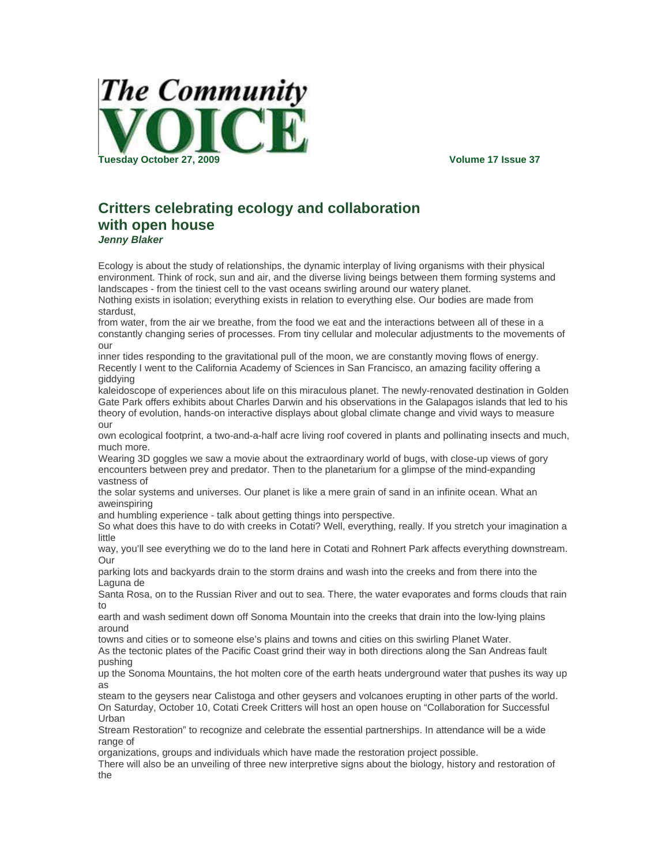

## **Critters celebrating ecology and collaboration with open house**  *Jenny Blaker*

Ecology is about the study of relationships, the dynamic interplay of living organisms with their physical environment. Think of rock, sun and air, and the diverse living beings between them forming systems and landscapes - from the tiniest cell to the vast oceans swirling around our watery planet.

Nothing exists in isolation; everything exists in relation to everything else. Our bodies are made from stardust,

from water, from the air we breathe, from the food we eat and the interactions between all of these in a constantly changing series of processes. From tiny cellular and molecular adjustments to the movements of our

inner tides responding to the gravitational pull of the moon, we are constantly moving flows of energy. Recently I went to the California Academy of Sciences in San Francisco, an amazing facility offering a giddying

kaleidoscope of experiences about life on this miraculous planet. The newly-renovated destination in Golden Gate Park offers exhibits about Charles Darwin and his observations in the Galapagos islands that led to his theory of evolution, hands-on interactive displays about global climate change and vivid ways to measure our

own ecological footprint, a two-and-a-half acre living roof covered in plants and pollinating insects and much, much more.

Wearing 3D goggles we saw a movie about the extraordinary world of bugs, with close-up views of gory encounters between prey and predator. Then to the planetarium for a glimpse of the mind-expanding vastness of

the solar systems and universes. Our planet is like a mere grain of sand in an infinite ocean. What an aweinspiring

and humbling experience - talk about getting things into perspective.

So what does this have to do with creeks in Cotati? Well, everything, really. If you stretch your imagination a little

way, you'll see everything we do to the land here in Cotati and Rohnert Park affects everything downstream. Our

parking lots and backyards drain to the storm drains and wash into the creeks and from there into the Laguna de

Santa Rosa, on to the Russian River and out to sea. There, the water evaporates and forms clouds that rain to

earth and wash sediment down off Sonoma Mountain into the creeks that drain into the low-lying plains around

towns and cities or to someone else's plains and towns and cities on this swirling Planet Water.

As the tectonic plates of the Pacific Coast grind their way in both directions along the San Andreas fault pushing

up the Sonoma Mountains, the hot molten core of the earth heats underground water that pushes its way up as

steam to the geysers near Calistoga and other geysers and volcanoes erupting in other parts of the world. On Saturday, October 10, Cotati Creek Critters will host an open house on "Collaboration for Successful Urban

Stream Restoration" to recognize and celebrate the essential partnerships. In attendance will be a wide range of

organizations, groups and individuals which have made the restoration project possible.

There will also be an unveiling of three new interpretive signs about the biology, history and restoration of the